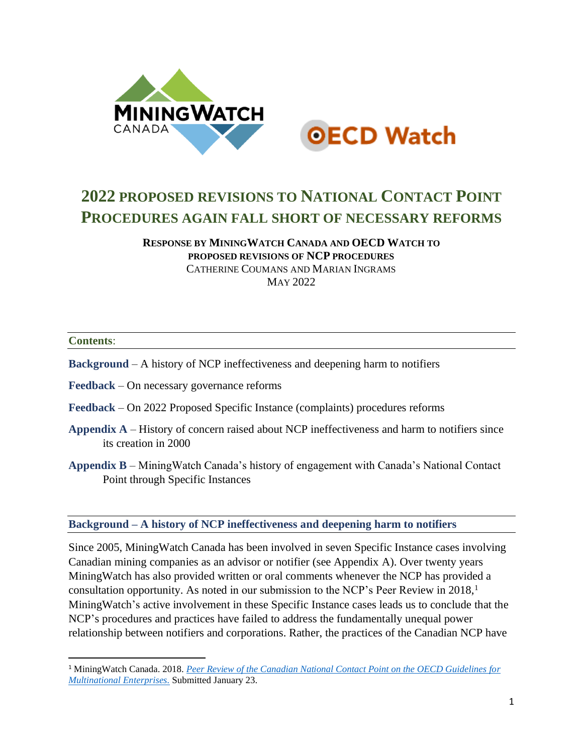



# **2022 PROPOSED REVISIONS TO NATIONAL CONTACT POINT PROCEDURES AGAIN FALL SHORT OF NECESSARY REFORMS**

**RESPONSE BY MININGWATCH CANADA AND OECD WATCH TO PROPOSED REVISIONS OF NCP PROCEDURES** CATHERINE COUMANS AND MARIAN INGRAMS M<sub>AY</sub> 2022

#### **Contents**:

- **Background** A history of NCP ineffectiveness and deepening harm to notifiers
- **Feedback** On necessary governance reforms
- **Feedback** On 2022 Proposed Specific Instance (complaints) procedures reforms
- **Appendix A** History of concern raised about NCP ineffectiveness and harm to notifiers since its creation in 2000
- **Appendix B** MiningWatch Canada's history of engagement with Canada's National Contact Point through Specific Instances

**Background – A history of NCP ineffectiveness and deepening harm to notifiers**

Since 2005, MiningWatch Canada has been involved in seven Specific Instance cases involving Canadian mining companies as an advisor or notifier (see Appendix A). Over twenty years MiningWatch has also provided written or oral comments whenever the NCP has provided a consultation opportunity. As noted in our submission to the NCP's Peer Review in  $2018$ ,<sup>1</sup> MiningWatch's active involvement in these Specific Instance cases leads us to conclude that the NCP's procedures and practices have failed to address the fundamentally unequal power relationship between notifiers and corporations. Rather, the practices of the Canadian NCP have

<sup>1</sup> MiningWatch Canada. 2018. *[Peer Review of the Canadian National Contact Point on the OECD Guidelines for](https://miningwatch.ca/sites/default/files/miningwatchcanadasubmissiontoncppeerreviewjanuary2018.pdf)  [Multinational Enterprises.](https://miningwatch.ca/sites/default/files/miningwatchcanadasubmissiontoncppeerreviewjanuary2018.pdf)* Submitted January 23.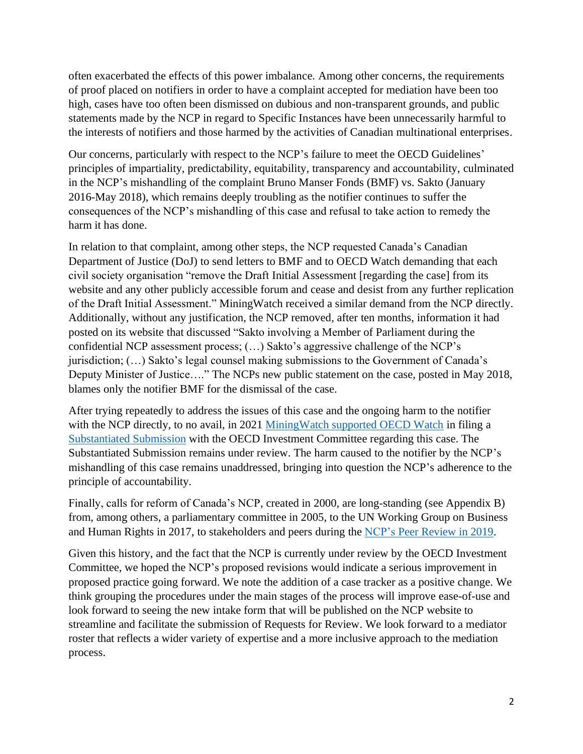often exacerbated the effects of this power imbalance. Among other concerns, the requirements of proof placed on notifiers in order to have a complaint accepted for mediation have been too high, cases have too often been dismissed on dubious and non-transparent grounds, and public statements made by the NCP in regard to Specific Instances have been unnecessarily harmful to the interests of notifiers and those harmed by the activities of Canadian multinational enterprises.

Our concerns, particularly with respect to the NCP's failure to meet the OECD Guidelines' principles of impartiality, predictability, equitability, transparency and accountability, culminated in the NCP's mishandling of the complaint Bruno Manser Fonds (BMF) vs. Sakto (January 2016-May 2018), which remains deeply troubling as the notifier continues to suffer the consequences of the NCP's mishandling of this case and refusal to take action to remedy the harm it has done.

In relation to that complaint, among other steps, the NCP requested Canada's Canadian Department of Justice (DoJ) to send letters to BMF and to OECD Watch demanding that each civil society organisation "remove the Draft Initial Assessment [regarding the case] from its website and any other publicly accessible forum and cease and desist from any further replication of the Draft Initial Assessment." MiningWatch received a similar demand from the NCP directly. Additionally, without any justification, the NCP removed, after ten months, information it had posted on its website that discussed "Sakto involving a Member of Parliament during the confidential NCP assessment process; (…) Sakto's aggressive challenge of the NCP's jurisdiction; (…) Sakto's legal counsel making submissions to the Government of Canada's Deputy Minister of Justice…." The NCPs new public statement on the case, posted in May 2018, blames only the notifier BMF for the dismissal of the case.

After trying repeatedly to address the issues of this case and the ongoing harm to the notifier with the NCP directly, to no avail, in 2021 Mining Watch supported OECD Watch in filing a [Substantiated Submission](https://www.oecdwatch.org/wp-content/uploads/sites/8/dlm_uploads/2021/09/OECD-Watch-substantiated-submission-vs.-Canadian-NCP-2020-09-22-1.pdf) with the OECD Investment Committee regarding this case. The Substantiated Submission remains under review. The harm caused to the notifier by the NCP's mishandling of this case remains unaddressed, bringing into question the NCP's adherence to the principle of accountability.

Finally, calls for reform of Canada's NCP, created in 2000, are long-standing (see Appendix B) from, among others, a parliamentary committee in 2005, to the UN Working Group on Business and Human Rights in 2017, to stakeholders and peers during the [NCP's Peer Review in 2019.](https://mneguidelines.oecd.org/Canada-NCP-Peer-Review-2019.pdf)

Given this history, and the fact that the NCP is currently under review by the OECD Investment Committee, we hoped the NCP's proposed revisions would indicate a serious improvement in proposed practice going forward. We note the addition of a case tracker as a positive change. We think grouping the procedures under the main stages of the process will improve ease-of-use and look forward to seeing the new intake form that will be published on the NCP website to streamline and facilitate the submission of Requests for Review. We look forward to a mediator roster that reflects a wider variety of expertise and a more inclusive approach to the mediation process.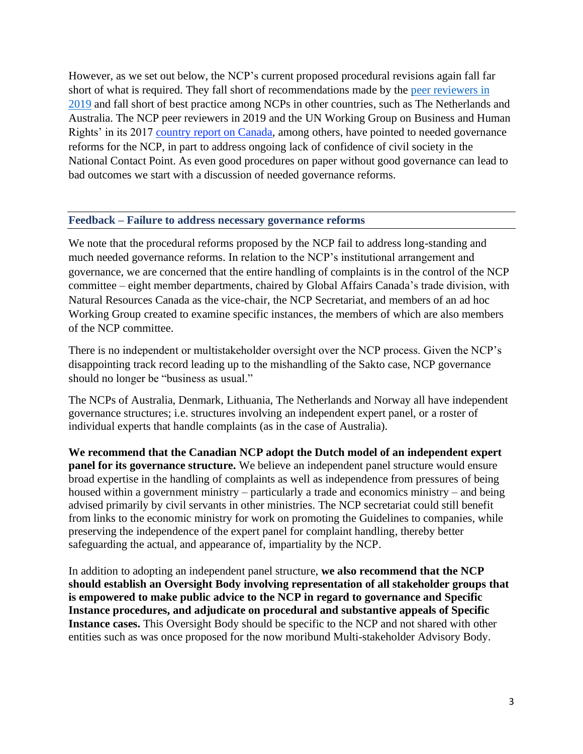However, as we set out below, the NCP's current proposed procedural revisions again fall far short of what is required. They fall short of recommendations made by the [peer reviewers in](https://mneguidelines.oecd.org/Canada-NCP-Peer-Review-2019.pdf)  [2019](https://mneguidelines.oecd.org/Canada-NCP-Peer-Review-2019.pdf) and fall short of best practice among NCPs in other countries, such as The Netherlands and Australia. The NCP peer reviewers in 2019 and the UN Working Group on Business and Human Rights' in its 2017 [country report on Canada,](https://documents-dds-ny.un.org/doc/UNDOC/GEN/G18/116/38/PDF/G1811638.pdf?OpenElement) among others, have pointed to needed governance reforms for the NCP, in part to address ongoing lack of confidence of civil society in the National Contact Point. As even good procedures on paper without good governance can lead to bad outcomes we start with a discussion of needed governance reforms.

#### **Feedback – Failure to address necessary governance reforms**

We note that the procedural reforms proposed by the NCP fail to address long-standing and much needed governance reforms. In relation to the NCP's institutional arrangement and governance, we are concerned that the entire handling of complaints is in the control of the NCP committee – eight member departments, chaired by Global Affairs Canada's trade division, with Natural Resources Canada as the vice-chair, the NCP Secretariat, and members of an ad hoc Working Group created to examine specific instances, the members of which are also members of the NCP committee.

There is no independent or multistakeholder oversight over the NCP process. Given the NCP's disappointing track record leading up to the mishandling of the Sakto case, NCP governance should no longer be "business as usual."

The NCPs of Australia, Denmark, Lithuania, The Netherlands and Norway all have independent governance structures; i.e. structures involving an independent expert panel, or a roster of individual experts that handle complaints (as in the case of Australia).

**We recommend that the Canadian NCP adopt the Dutch model of an independent expert panel for its governance structure.** We believe an independent panel structure would ensure broad expertise in the handling of complaints as well as independence from pressures of being housed within a government ministry – particularly a trade and economics ministry – and being advised primarily by civil servants in other ministries. The NCP secretariat could still benefit from links to the economic ministry for work on promoting the Guidelines to companies, while preserving the independence of the expert panel for complaint handling, thereby better safeguarding the actual, and appearance of, impartiality by the NCP.

In addition to adopting an independent panel structure, **we also recommend that the NCP should establish an Oversight Body involving representation of all stakeholder groups that is empowered to make public advice to the NCP in regard to governance and Specific Instance procedures, and adjudicate on procedural and substantive appeals of Specific Instance cases.** This Oversight Body should be specific to the NCP and not shared with other entities such as was once proposed for the now moribund Multi-stakeholder Advisory Body.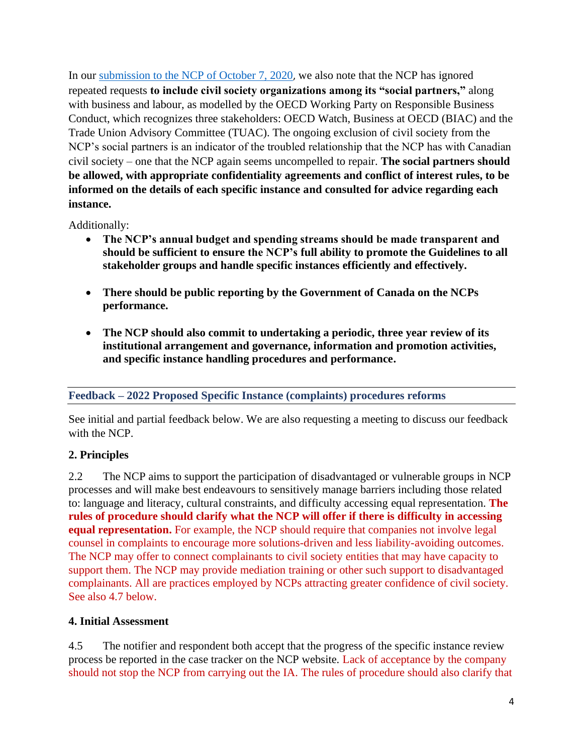In our [submission to the NCP of October 7, 2020](https://miningwatch.ca/sites/default/files/brief_on_ncp_reform_october_7_2020.pdf), we also note that the NCP has ignored repeated requests **to include civil society organizations among its "social partners,"** along with business and labour, as modelled by the OECD Working Party on Responsible Business Conduct, which recognizes three stakeholders: OECD Watch, Business at OECD (BIAC) and the Trade Union Advisory Committee (TUAC). The ongoing exclusion of civil society from the NCP's social partners is an indicator of the troubled relationship that the NCP has with Canadian civil society – one that the NCP again seems uncompelled to repair. **The social partners should be allowed, with appropriate confidentiality agreements and conflict of interest rules, to be informed on the details of each specific instance and consulted for advice regarding each instance.**

Additionally:

- **The NCP's annual budget and spending streams should be made transparent and should be sufficient to ensure the NCP's full ability to promote the Guidelines to all stakeholder groups and handle specific instances efficiently and effectively.**
- **There should be public reporting by the Government of Canada on the NCPs performance.**
- **The NCP should also commit to undertaking a periodic, three year review of its institutional arrangement and governance, information and promotion activities, and specific instance handling procedures and performance.**

# **Feedback – 2022 Proposed Specific Instance (complaints) procedures reforms**

See initial and partial feedback below. We are also requesting a meeting to discuss our feedback with the NCP.

# **2. Principles**

2.2 The NCP aims to support the participation of disadvantaged or vulnerable groups in NCP processes and will make best endeavours to sensitively manage barriers including those related to: language and literacy, cultural constraints, and difficulty accessing equal representation. **The rules of procedure should clarify what the NCP will offer if there is difficulty in accessing equal representation.** For example, the NCP should require that companies not involve legal counsel in complaints to encourage more solutions-driven and less liability-avoiding outcomes. The NCP may offer to connect complainants to civil society entities that may have capacity to support them. The NCP may provide mediation training or other such support to disadvantaged complainants. All are practices employed by NCPs attracting greater confidence of civil society. See also 4.7 below.

# **4. Initial Assessment**

4.5 The notifier and respondent both accept that the progress of the specific instance review process be reported in the case tracker on the NCP website. Lack of acceptance by the company should not stop the NCP from carrying out the IA. The rules of procedure should also clarify that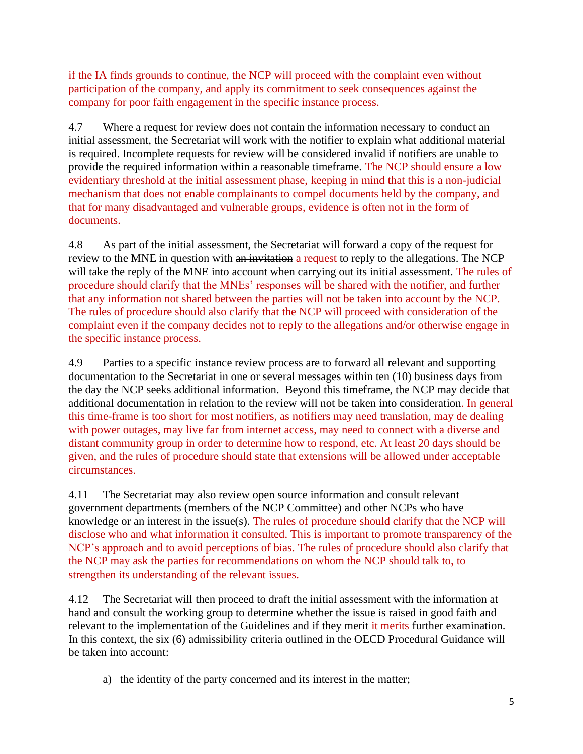if the IA finds grounds to continue, the NCP will proceed with the complaint even without participation of the company, and apply its commitment to seek consequences against the company for poor faith engagement in the specific instance process.

4.7 Where a request for review does not contain the information necessary to conduct an initial assessment, the Secretariat will work with the notifier to explain what additional material is required. Incomplete requests for review will be considered invalid if notifiers are unable to provide the required information within a reasonable timeframe. The NCP should ensure a low evidentiary threshold at the initial assessment phase, keeping in mind that this is a non-judicial mechanism that does not enable complainants to compel documents held by the company, and that for many disadvantaged and vulnerable groups, evidence is often not in the form of documents.

4.8 As part of the initial assessment, the Secretariat will forward a copy of the request for review to the MNE in question with an invitation a request to reply to the allegations. The NCP will take the reply of the MNE into account when carrying out its initial assessment. The rules of procedure should clarify that the MNEs' responses will be shared with the notifier, and further that any information not shared between the parties will not be taken into account by the NCP. The rules of procedure should also clarify that the NCP will proceed with consideration of the complaint even if the company decides not to reply to the allegations and/or otherwise engage in the specific instance process.

4.9 Parties to a specific instance review process are to forward all relevant and supporting documentation to the Secretariat in one or several messages within ten (10) business days from the day the NCP seeks additional information. Beyond this timeframe, the NCP may decide that additional documentation in relation to the review will not be taken into consideration. In general this time-frame is too short for most notifiers, as notifiers may need translation, may de dealing with power outages, may live far from internet access, may need to connect with a diverse and distant community group in order to determine how to respond, etc. At least 20 days should be given, and the rules of procedure should state that extensions will be allowed under acceptable circumstances.

4.11 The Secretariat may also review open source information and consult relevant government departments (members of the NCP Committee) and other NCPs who have knowledge or an interest in the issue(s). The rules of procedure should clarify that the NCP will disclose who and what information it consulted. This is important to promote transparency of the NCP's approach and to avoid perceptions of bias. The rules of procedure should also clarify that the NCP may ask the parties for recommendations on whom the NCP should talk to, to strengthen its understanding of the relevant issues.

4.12 The Secretariat will then proceed to draft the initial assessment with the information at hand and consult the working group to determine whether the issue is raised in good faith and relevant to the implementation of the Guidelines and if they merit it merits further examination. In this context, the six (6) admissibility criteria outlined in the OECD Procedural Guidance will be taken into account:

a) the identity of the party concerned and its interest in the matter;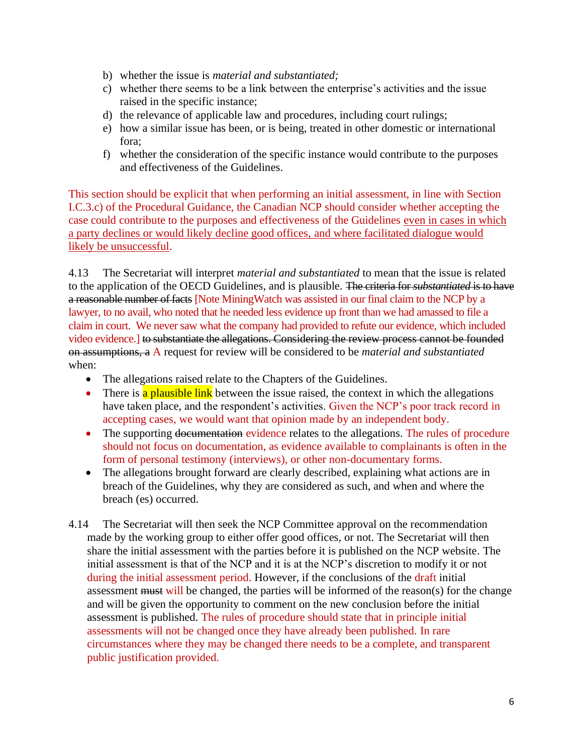- b) whether the issue is *material and substantiated;*
- c) whether there seems to be a link between the enterprise's activities and the issue raised in the specific instance;
- d) the relevance of applicable law and procedures, including court rulings;
- e) how a similar issue has been, or is being, treated in other domestic or international fora;
- f) whether the consideration of the specific instance would contribute to the purposes and effectiveness of the Guidelines.

This section should be explicit that when performing an initial assessment, in line with Section I.C.3.c) of the Procedural Guidance, the Canadian NCP should consider whether accepting the case could contribute to the purposes and effectiveness of the Guidelines even in cases in which a party declines or would likely decline good offices, and where facilitated dialogue would likely be unsuccessful.

4.13 The Secretariat will interpret *material and substantiated* to mean that the issue is related to the application of the OECD Guidelines, and is plausible. The criteria for *substantiated* is to have a reasonable number of facts [Note MiningWatch was assisted in our final claim to the NCP by a lawyer, to no avail, who noted that he needed less evidence up front than we had amassed to file a claim in court. We never saw what the company had provided to refute our evidence, which included video evidence.] to substantiate the allegations. Considering the review process cannot be founded on assumptions, a A request for review will be considered to be *material and substantiated* when:

- The allegations raised relate to the Chapters of the Guidelines.
- There is a plausible link between the issue raised, the context in which the allegations have taken place, and the respondent's activities. Given the NCP's poor track record in accepting cases, we would want that opinion made by an independent body.
- The supporting documentation evidence relates to the allegations. The rules of procedure should not focus on documentation, as evidence available to complainants is often in the form of personal testimony (interviews), or other non-documentary forms.
- The allegations brought forward are clearly described, explaining what actions are in breach of the Guidelines, why they are considered as such, and when and where the breach (es) occurred.
- 4.14 The Secretariat will then seek the NCP Committee approval on the recommendation made by the working group to either offer good offices, or not. The Secretariat will then share the initial assessment with the parties before it is published on the NCP website. The initial assessment is that of the NCP and it is at the NCP's discretion to modify it or not during the initial assessment period. However, if the conclusions of the draft initial assessment must will be changed, the parties will be informed of the reason(s) for the change and will be given the opportunity to comment on the new conclusion before the initial assessment is published. The rules of procedure should state that in principle initial assessments will not be changed once they have already been published. In rare circumstances where they may be changed there needs to be a complete, and transparent public justification provided.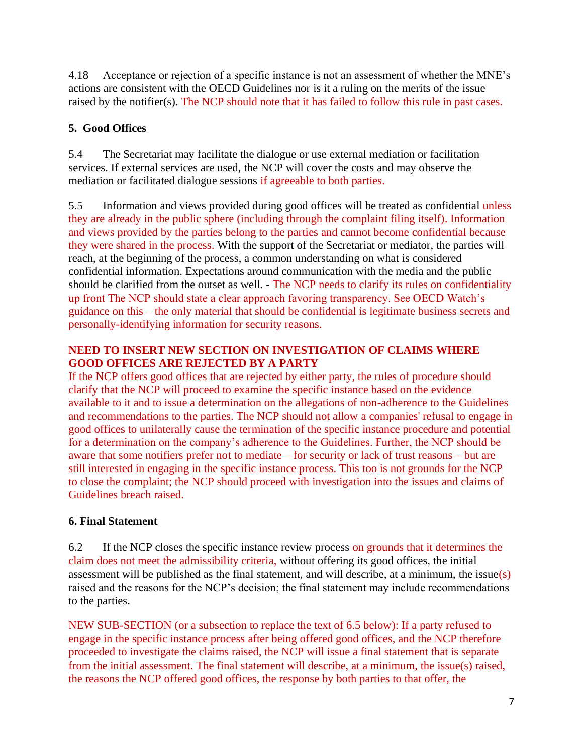4.18 Acceptance or rejection of a specific instance is not an assessment of whether the MNE's actions are consistent with the OECD Guidelines nor is it a ruling on the merits of the issue raised by the notifier(s). The NCP should note that it has failed to follow this rule in past cases.

# **5. Good Offices**

5.4 The Secretariat may facilitate the dialogue or use external mediation or facilitation services. If external services are used, the NCP will cover the costs and may observe the mediation or facilitated dialogue sessions if agreeable to both parties.

5.5 Information and views provided during good offices will be treated as confidential unless they are already in the public sphere (including through the complaint filing itself). Information and views provided by the parties belong to the parties and cannot become confidential because they were shared in the process. With the support of the Secretariat or mediator, the parties will reach, at the beginning of the process, a common understanding on what is considered confidential information. Expectations around communication with the media and the public should be clarified from the outset as well. - The NCP needs to clarify its rules on confidentiality up front The NCP should state a clear approach favoring transparency. See OECD Watch's guidance on this – the only material that should be confidential is legitimate business secrets and personally-identifying information for security reasons.

#### **NEED TO INSERT NEW SECTION ON INVESTIGATION OF CLAIMS WHERE GOOD OFFICES ARE REJECTED BY A PARTY**

If the NCP offers good offices that are rejected by either party, the rules of procedure should clarify that the NCP will proceed to examine the specific instance based on the evidence available to it and to issue a determination on the allegations of non-adherence to the Guidelines and recommendations to the parties. The NCP should not allow a companies' refusal to engage in good offices to unilaterally cause the termination of the specific instance procedure and potential for a determination on the company's adherence to the Guidelines. Further, the NCP should be aware that some notifiers prefer not to mediate – for security or lack of trust reasons – but are still interested in engaging in the specific instance process. This too is not grounds for the NCP to close the complaint; the NCP should proceed with investigation into the issues and claims of Guidelines breach raised.

# **6. Final Statement**

6.2 If the NCP closes the specific instance review process on grounds that it determines the claim does not meet the admissibility criteria, without offering its good offices, the initial assessment will be published as the final statement, and will describe, at a minimum, the issue(s) raised and the reasons for the NCP's decision; the final statement may include recommendations to the parties.

NEW SUB-SECTION (or a subsection to replace the text of 6.5 below): If a party refused to engage in the specific instance process after being offered good offices, and the NCP therefore proceeded to investigate the claims raised, the NCP will issue a final statement that is separate from the initial assessment. The final statement will describe, at a minimum, the issue(s) raised, the reasons the NCP offered good offices, the response by both parties to that offer, the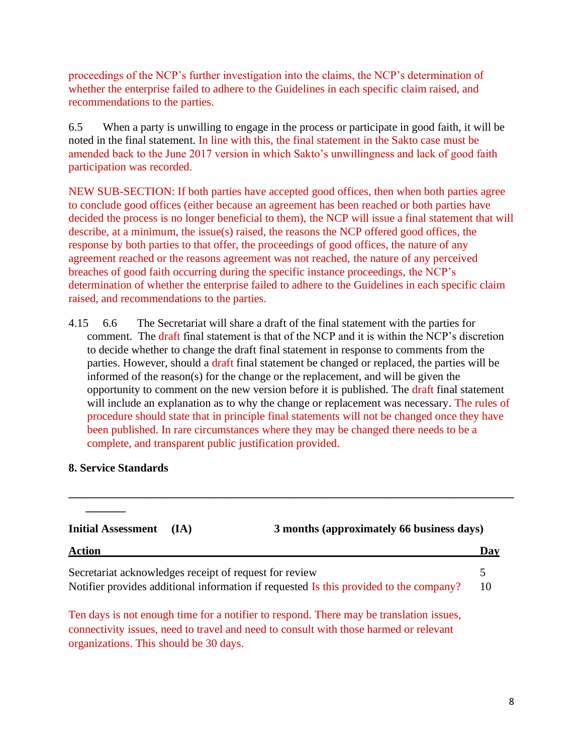proceedings of the NCP's further investigation into the claims, the NCP's determination of whether the enterprise failed to adhere to the Guidelines in each specific claim raised, and recommendations to the parties.

6.5 When a party is unwilling to engage in the process or participate in good faith, it will be noted in the final statement. In line with this, the final statement in the Sakto case must be amended back to the June 2017 version in which Sakto's unwillingness and lack of good faith participation was recorded.

NEW SUB-SECTION: If both parties have accepted good offices, then when both parties agree to conclude good offices (either because an agreement has been reached or both parties have decided the process is no longer beneficial to them), the NCP will issue a final statement that will describe, at a minimum, the issue(s) raised, the reasons the NCP offered good offices, the response by both parties to that offer, the proceedings of good offices, the nature of any agreement reached or the reasons agreement was not reached, the nature of any perceived breaches of good faith occurring during the specific instance proceedings, the NCP's determination of whether the enterprise failed to adhere to the Guidelines in each specific claim raised, and recommendations to the parties.

4.15 6.6 The Secretariat will share a draft of the final statement with the parties for comment. The draft final statement is that of the NCP and it is within the NCP's discretion to decide whether to change the draft final statement in response to comments from the parties. However, should a draft final statement be changed or replaced, the parties will be informed of the reason(s) for the change or the replacement, and will be given the opportunity to comment on the new version before it is published. The draft final statement will include an explanation as to why the change or replacement was necessary. The rules of procedure should state that in principle final statements will not be changed once they have been published. In rare circumstances where they may be changed there needs to be a complete, and transparent public justification provided.

#### **8. Service Standards**

**\_\_\_\_\_\_\_**

| <b>Initial Assessment</b>                              | (IA) | 3 months (approximately 66 business days)                                              |     |
|--------------------------------------------------------|------|----------------------------------------------------------------------------------------|-----|
| <b>Action</b>                                          |      |                                                                                        | Day |
| Secretariat acknowledges receipt of request for review |      |                                                                                        |     |
|                                                        |      | Notifier provides additional information if requested Is this provided to the company? | 10  |
|                                                        |      | Ten days is not enough time for a notifier to respond. There may be translation issues |     |

**\_\_\_\_\_\_\_\_\_\_\_\_\_\_\_\_\_\_\_\_\_\_\_\_\_\_\_\_\_\_\_\_\_\_\_\_\_\_\_\_\_\_\_\_\_\_\_\_\_\_\_\_\_\_\_\_\_\_\_\_\_\_\_\_\_\_\_\_\_\_\_\_\_\_\_\_\_\_**

Ten days is not enough time for a notifier to respond. There may be translation issues, connectivity issues, need to travel and need to consult with those harmed or relevant organizations. This should be 30 days.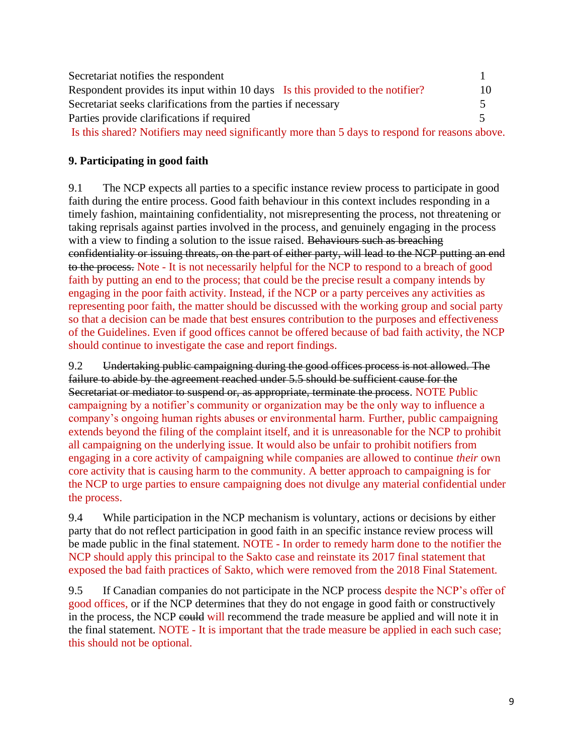| Secretariat notifies the respondent                                                             |    |  |
|-------------------------------------------------------------------------------------------------|----|--|
| Respondent provides its input within 10 days Is this provided to the notifier?                  | 10 |  |
| Secretariat seeks clarifications from the parties if necessary                                  |    |  |
| Parties provide clarifications if required                                                      |    |  |
| Is this shared? Notifiers may need significantly more than 5 days to respond for reasons above. |    |  |

### **9. Participating in good faith**

9.1 The NCP expects all parties to a specific instance review process to participate in good faith during the entire process. Good faith behaviour in this context includes responding in a timely fashion, maintaining confidentiality, not misrepresenting the process, not threatening or taking reprisals against parties involved in the process, and genuinely engaging in the process with a view to finding a solution to the issue raised. Behaviours such as breaching confidentiality or issuing threats, on the part of either party, will lead to the NCP putting an end to the process. Note - It is not necessarily helpful for the NCP to respond to a breach of good faith by putting an end to the process; that could be the precise result a company intends by engaging in the poor faith activity. Instead, if the NCP or a party perceives any activities as representing poor faith, the matter should be discussed with the working group and social party so that a decision can be made that best ensures contribution to the purposes and effectiveness of the Guidelines. Even if good offices cannot be offered because of bad faith activity, the NCP should continue to investigate the case and report findings.

9.2 Undertaking public campaigning during the good offices process is not allowed. The failure to abide by the agreement reached under 5.5 should be sufficient cause for the Secretariat or mediator to suspend or, as appropriate, terminate the process. NOTE Public campaigning by a notifier's community or organization may be the only way to influence a company's ongoing human rights abuses or environmental harm. Further, public campaigning extends beyond the filing of the complaint itself, and it is unreasonable for the NCP to prohibit all campaigning on the underlying issue. It would also be unfair to prohibit notifiers from engaging in a core activity of campaigning while companies are allowed to continue *their* own core activity that is causing harm to the community. A better approach to campaigning is for the NCP to urge parties to ensure campaigning does not divulge any material confidential under the process.

9.4 While participation in the NCP mechanism is voluntary, actions or decisions by either party that do not reflect participation in good faith in an specific instance review process will be made public in the final statement. NOTE - In order to remedy harm done to the notifier the NCP should apply this principal to the Sakto case and reinstate its 2017 final statement that exposed the bad faith practices of Sakto, which were removed from the 2018 Final Statement.

9.5 If Canadian companies do not participate in the NCP process despite the NCP's offer of good offices, or if the NCP determines that they do not engage in good faith or constructively in the process, the NCP could will recommend the trade measure be applied and will note it in the final statement. NOTE - It is important that the trade measure be applied in each such case; this should not be optional.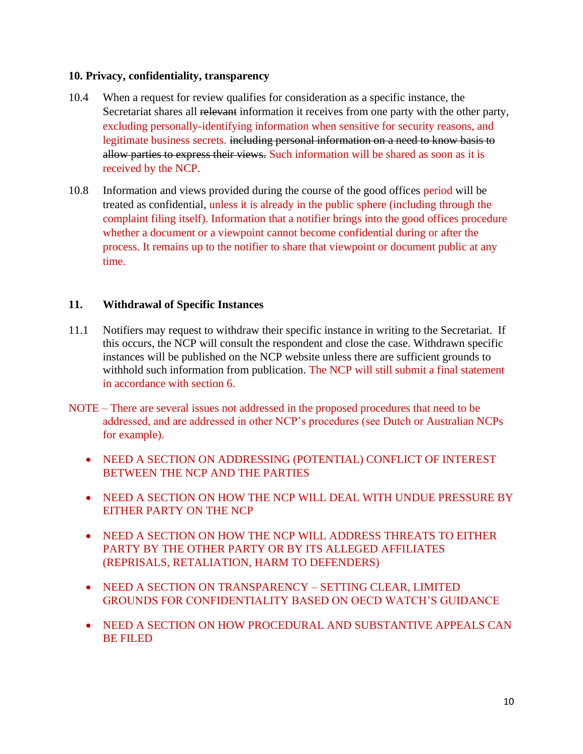#### **10. Privacy, confidentiality, transparency**

- 10.4 When a request for review qualifies for consideration as a specific instance, the Secretariat shares all relevant information it receives from one party with the other party, excluding personally-identifying information when sensitive for security reasons, and legitimate business secrets. including personal information on a need to know basis to allow parties to express their views. Such information will be shared as soon as it is received by the NCP.
- 10.8 Information and views provided during the course of the good offices period will be treated as confidential, unless it is already in the public sphere (including through the complaint filing itself). Information that a notifier brings into the good offices procedure whether a document or a viewpoint cannot become confidential during or after the process. It remains up to the notifier to share that viewpoint or document public at any time.

#### **11. Withdrawal of Specific Instances**

- 11.1 Notifiers may request to withdraw their specific instance in writing to the Secretariat. If this occurs, the NCP will consult the respondent and close the case. Withdrawn specific instances will be published on the NCP website unless there are sufficient grounds to withhold such information from publication. The NCP will still submit a final statement in accordance with section 6.
- NOTE There are several issues not addressed in the proposed procedures that need to be addressed, and are addressed in other NCP's procedures (see Dutch or Australian NCPs for example).
	- NEED A SECTION ON ADDRESSING (POTENTIAL) CONFLICT OF INTEREST BETWEEN THE NCP AND THE PARTIES
	- NEED A SECTION ON HOW THE NCP WILL DEAL WITH UNDUE PRESSURE BY EITHER PARTY ON THE NCP
	- NEED A SECTION ON HOW THE NCP WILL ADDRESS THREATS TO EITHER PARTY BY THE OTHER PARTY OR BY ITS ALLEGED AFFILIATES (REPRISALS, RETALIATION, HARM TO DEFENDERS)
	- NEED A SECTION ON TRANSPARENCY SETTING CLEAR, LIMITED GROUNDS FOR CONFIDENTIALITY BASED ON OECD WATCH'S GUIDANCE
	- NEED A SECTION ON HOW PROCEDURAL AND SUBSTANTIVE APPEALS CAN BE FILED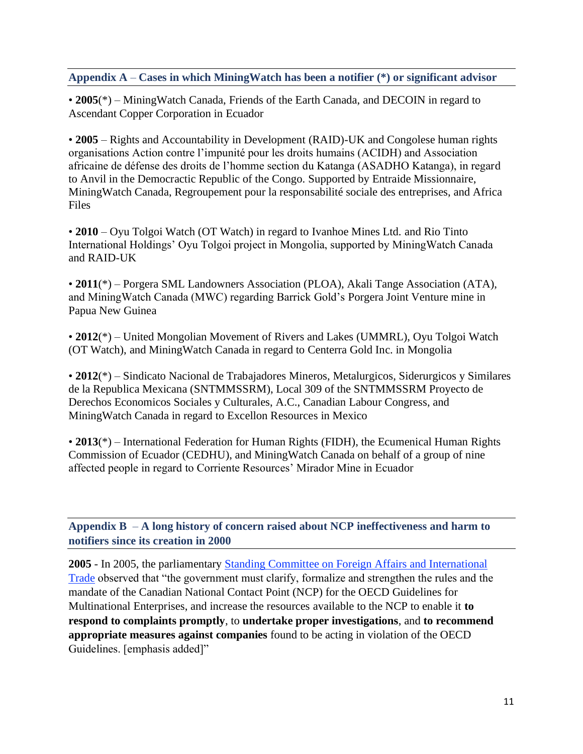#### **Appendix A** – **Cases in which MiningWatch has been a notifier (\*) or significant advisor**

• **2005**(\*) – MiningWatch Canada, Friends of the Earth Canada, and DECOIN in regard to Ascendant Copper Corporation in Ecuador

• **2005** – Rights and Accountability in Development (RAID)-UK and Congolese human rights organisations Action contre l'impunité pour les droits humains (ACIDH) and Association africaine de défense des droits de l'homme section du Katanga (ASADHO Katanga), in regard to Anvil in the Democractic Republic of the Congo. Supported by Entraide Missionnaire, MiningWatch Canada, Regroupement pour la responsabilité sociale des entreprises, and Africa Files

• **2010** – Oyu Tolgoi Watch (OT Watch) in regard to Ivanhoe Mines Ltd. and Rio Tinto International Holdings' Oyu Tolgoi project in Mongolia, supported by MiningWatch Canada and RAID-UK

• **2011**(\*) – Porgera SML Landowners Association (PLOA), Akali Tange Association (ATA), and MiningWatch Canada (MWC) regarding Barrick Gold's Porgera Joint Venture mine in Papua New Guinea

• **2012**(\*) – United Mongolian Movement of Rivers and Lakes (UMMRL), Oyu Tolgoi Watch (OT Watch), and MiningWatch Canada in regard to Centerra Gold Inc. in Mongolia

• **2012**(\*) – Sindicato Nacional de Trabajadores Mineros, Metalurgicos, Siderurgicos y Similares de la Republica Mexicana (SNTMMSSRM), Local 309 of the SNTMMSSRM Proyecto de Derechos Economicos Sociales y Culturales, A.C., Canadian Labour Congress, and MiningWatch Canada in regard to Excellon Resources in Mexico

• **2013**(\*) – International Federation for Human Rights (FIDH), the Ecumenical Human Rights Commission of Ecuador (CEDHU), and MiningWatch Canada on behalf of a group of nine affected people in regard to Corriente Resources' Mirador Mine in Ecuador

**Appendix B** – **A long history of concern raised about NCP ineffectiveness and harm to notifiers since its creation in 2000**

**2005** - In 2005, the parliamentary [Standing Committee on Foreign Affairs and International](https://www.ourcommons.ca/DocumentViewer/en/38-1/FAAE/report-14/)  [Trade](https://www.ourcommons.ca/DocumentViewer/en/38-1/FAAE/report-14/) observed that "the government must clarify, formalize and strengthen the rules and the mandate of the Canadian National Contact Point (NCP) for the OECD Guidelines for Multinational Enterprises, and increase the resources available to the NCP to enable it **to respond to complaints promptly**, to **undertake proper investigations**, and **to recommend appropriate measures against companies** found to be acting in violation of the OECD Guidelines. [emphasis added]"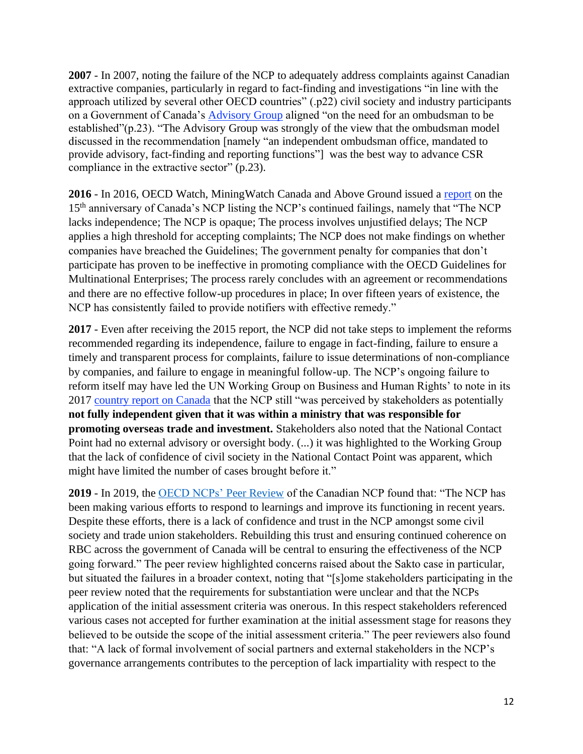**2007** - In 2007, noting the failure of the NCP to adequately address complaints against Canadian extractive companies, particularly in regard to fact-finding and investigations "in line with the approach utilized by several other OECD countries" (.p22) civil society and industry participants on a Government of Canada's [Advisory Group](https://miningwatch.ca/sites/default/files/rt_advisory_group_report.pdf) aligned "on the need for an ombudsman to be established"(p.23). "The Advisory Group was strongly of the view that the ombudsman model discussed in the recommendation [namely "an independent ombudsman office, mandated to provide advisory, fact-finding and reporting functions"] was the best way to advance CSR compliance in the extractive sector" (p.23).

**2016** - In 2016, OECD Watch, MiningWatch Canada and Above Ground issued a [report](https://miningwatch.ca/sites/default/files/canada-is-back-report-web_0.pdf) on the 15th anniversary of Canada's NCP listing the NCP's continued failings, namely that "The NCP lacks independence; The NCP is opaque; The process involves unjustified delays; The NCP applies a high threshold for accepting complaints; The NCP does not make findings on whether companies have breached the Guidelines; The government penalty for companies that don't participate has proven to be ineffective in promoting compliance with the OECD Guidelines for Multinational Enterprises; The process rarely concludes with an agreement or recommendations and there are no effective follow-up procedures in place; In over fifteen years of existence, the NCP has consistently failed to provide notifiers with effective remedy."

**2017** - Even after receiving the 2015 report, the NCP did not take steps to implement the reforms recommended regarding its independence, failure to engage in fact-finding, failure to ensure a timely and transparent process for complaints, failure to issue determinations of non-compliance by companies, and failure to engage in meaningful follow-up. The NCP's ongoing failure to reform itself may have led the UN Working Group on Business and Human Rights' to note in its 2017 [country report on Canada](https://documents-dds-ny.un.org/doc/UNDOC/GEN/G18/116/38/PDF/G1811638.pdf?OpenElement) that the NCP still "was perceived by stakeholders as potentially **not fully independent given that it was within a ministry that was responsible for promoting overseas trade and investment.** Stakeholders also noted that the National Contact Point had no external advisory or oversight body. (...) it was highlighted to the Working Group that the lack of confidence of civil society in the National Contact Point was apparent, which might have limited the number of cases brought before it."

**2019** - In 2019, the [OECD NCPs'](https://mneguidelines.oecd.org/Canada-NCP-Peer-Review-2019.pdf) Peer Review of the Canadian NCP found that: "The NCP has been making various efforts to respond to learnings and improve its functioning in recent years. Despite these efforts, there is a lack of confidence and trust in the NCP amongst some civil society and trade union stakeholders. Rebuilding this trust and ensuring continued coherence on RBC across the government of Canada will be central to ensuring the effectiveness of the NCP going forward." The peer review highlighted concerns raised about the Sakto case in particular, but situated the failures in a broader context, noting that "[s]ome stakeholders participating in the peer review noted that the requirements for substantiation were unclear and that the NCPs application of the initial assessment criteria was onerous. In this respect stakeholders referenced various cases not accepted for further examination at the initial assessment stage for reasons they believed to be outside the scope of the initial assessment criteria." The peer reviewers also found that: "A lack of formal involvement of social partners and external stakeholders in the NCP's governance arrangements contributes to the perception of lack impartiality with respect to the